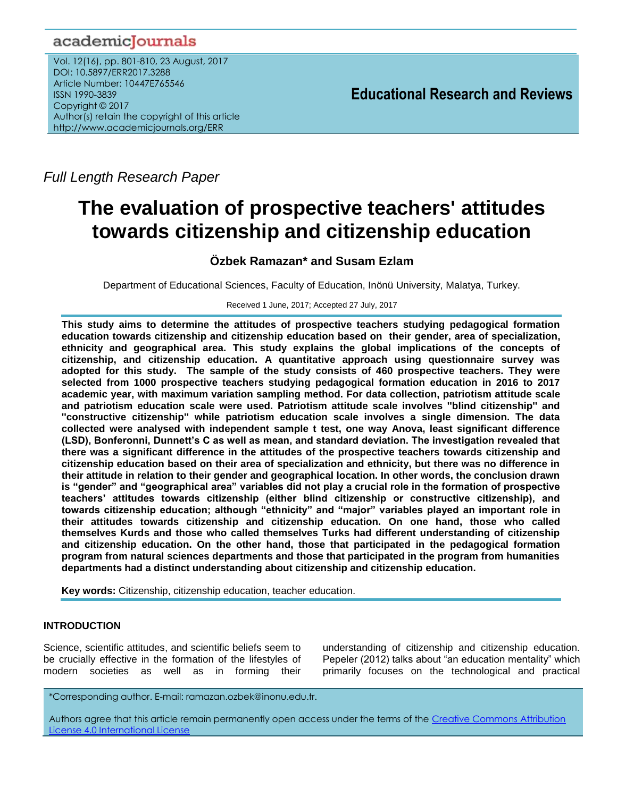# academicJournals

Vol. 12(16), pp. 801-810, 23 August, 2017 DOI: 10.5897/ERR2017.3288 Article Number: 10447E765546 ISSN 1990-3839 Copyright © 2017 Author(s) retain the copyright of this article http://www.academicjournals.org/ERR

**Educational Research and Reviews**

*Full Length Research Paper*

# **The evaluation of prospective teachers' attitudes towards citizenship and citizenship education**

## **Özbek Ramazan\* and Susam Ezlam**

Department of Educational Sciences, Faculty of Education, Inönü University, Malatya, Turkey.

## Received 1 June, 2017; Accepted 27 July, 2017

**This study aims to determine the attitudes of prospective teachers studying pedagogical formation education towards citizenship and citizenship education based on their gender, area of specialization, ethnicity and geographical area. This study explains the global implications of the concepts of citizenship, and citizenship education. A quantitative approach using questionnaire survey was adopted for this study. The sample of the study consists of 460 prospective teachers. They were selected from 1000 prospective teachers studying pedagogical formation education in 2016 to 2017 academic year, with maximum variation sampling method. For data collection, patriotism attitude scale and patriotism education scale were used. Patriotism attitude scale involves ''blind citizenship'' and ''constructive citizenship'' while patriotism education scale involves a single dimension. The data collected were analysed with independent sample t test, one way Anova, least significant difference (LSD), Bonferonni, Dunnett's C as well as mean, and standard deviation. The investigation revealed that there was a significant difference in the attitudes of the prospective teachers towards citizenship and citizenship education based on their area of specialization and ethnicity, but there was no difference in their attitude in relation to their gender and geographical location. In other words, the conclusion drawn is "gender" and "geographical area" variables did not play a crucial role in the formation of prospective teachers' attitudes towards citizenship (either blind citizenship or constructive citizenship), and towards citizenship education; although "ethnicity" and "major" variables played an important role in their attitudes towards citizenship and citizenship education. On one hand, those who called themselves Kurds and those who called themselves Turks had different understanding of citizenship and citizenship education. On the other hand, those that participated in the pedagogical formation program from natural sciences departments and those that participated in the program from humanities departments had a distinct understanding about citizenship and citizenship education.** 

**Key words:** Citizenship, citizenship education, teacher education.

## **INTRODUCTION**

Science, scientific attitudes, and scientific beliefs seem to be crucially effective in the formation of the lifestyles of modern societies as well as in forming their

understanding of citizenship and citizenship education. Pepeler (2012) talks about "an education mentality" which primarily focuses on the technological and practical

\*Corresponding author. E-mail: ramazan.ozbek@inonu.edu.tr.

Authors agree that this article remain permanently open access under the terms of the Creative Commons Attribution [License 4.0 International License](file://192.168.1.24/reading/Arts%20and%20Education/ERR/2014/sept/read/Correction%20Pdf%201/ERR-17.04.14-1816/Publication/Creative%20Co)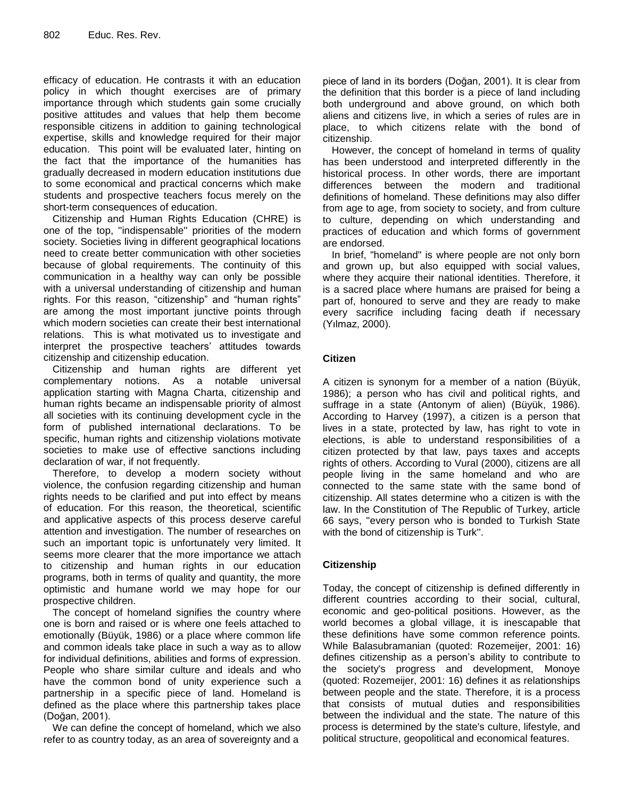efficacy of education. He contrasts it with an education policy in which thought exercises are of primary importance through which students gain some crucially positive attitudes and values that help them become responsible citizens in addition to gaining technological expertise, skills and knowledge required for their major education. This point will be evaluated later, hinting on the fact that the importance of the humanities has gradually decreased in modern education institutions due to some economical and practical concerns which make students and prospective teachers focus merely on the short-term consequences of education.

Citizenship and Human Rights Education (CHRE) is one of the top, ''indispensable'' priorities of the modern society. Societies living in different geographical locations need to create better communication with other societies because of global requirements. The continuity of this communication in a healthy way can only be possible with a universal understanding of citizenship and human rights. For this reason, "citizenship" and "human rights" are among the most important junctive points through which modern societies can create their best international relations. This is what motivated us to investigate and interpret the prospective teachers' attitudes towards citizenship and citizenship education.

Citizenship and human rights are different yet complementary notions. As a notable universal application starting with Magna Charta, citizenship and human rights became an indispensable priority of almost all societies with its continuing development cycle in the form of published international declarations. To be specific, human rights and citizenship violations motivate societies to make use of effective sanctions including declaration of war, if not frequently.

Therefore, to develop a modern society without violence, the confusion regarding citizenship and human rights needs to be clarified and put into effect by means of education. For this reason, the theoretical, scientific and applicative aspects of this process deserve careful attention and investigation. The number of researches on such an important topic is unfortunately very limited. It seems more clearer that the more importance we attach to citizenship and human rights in our education programs, both in terms of quality and quantity, the more optimistic and humane world we may hope for our prospective children.

The concept of homeland signifies the country where one is born and raised or is where one feels attached to emotionally (Büyük, 1986) or a place where common life and common ideals take place in such a way as to allow for individual definitions, abilities and forms of expression. People who share similar culture and ideals and who have the common bond of unity experience such a partnership in a specific piece of land. Homeland is defined as the place where this partnership takes place (Doğan, 2001).

We can define the concept of homeland, which we also refer to as country today, as an area of sovereignty and a

piece of land in its borders (Doğan, 2001). It is clear from the definition that this border is a piece of land including both underground and above ground, on which both aliens and citizens live, in which a series of rules are in place, to which citizens relate with the bond of citizenship.

However, the concept of homeland in terms of quality has been understood and interpreted differently in the historical process. In other words, there are important differences between the modern and traditional definitions of homeland. These definitions may also differ from age to age, from society to society, and from culture to culture, depending on which understanding and practices of education and which forms of government are endorsed.

In brief, "homeland" is where people are not only born and grown up, but also equipped with social values, where they acquire their national identities. Therefore, it is a sacred place where humans are praised for being a part of, honoured to serve and they are ready to make every sacrifice including facing death if necessary (Yılmaz, 2000).

## **Citizen**

A citizen is synonym for a member of a nation (Büyük, 1986); a person who has civil and political rights, and suffrage in a state (Antonym of alien) (Büyük, 1986). According to Harvey (1997), a citizen is a person that lives in a state, protected by law, has right to vote in elections, is able to understand responsibilities of a citizen protected by that law, pays taxes and accepts rights of others. According to Vural (2000), citizens are all people living in the same homeland and who are connected to the same state with the same bond of citizenship. All states determine who a citizen is with the law. In the Constitution of The Republic of Turkey, article 66 says, ''every person who is bonded to Turkish State with the bond of citizenship is Turk''.

## **Citizenship**

Today, the concept of citizenship is defined differently in different countries according to their social, cultural, economic and geo-political positions. However, as the world becomes a global village, it is inescapable that these definitions have some common reference points. While Balasubramanian (quoted: Rozemeijer, 2001: 16) defines citizenship as a person's ability to contribute to the society's progress and development, Monoye (quoted: Rozemeijer, 2001: 16) defines it as relationships between people and the state. Therefore, it is a process that consists of mutual duties and responsibilities between the individual and the state. The nature of this process is determined by the state's culture, lifestyle, and political structure, geopolitical and economical features.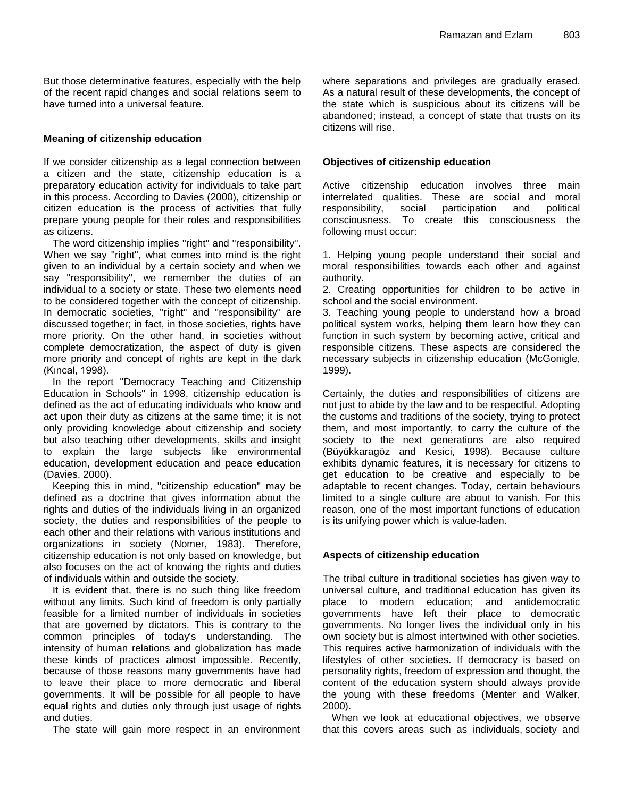But those determinative features, especially with the help of the recent rapid changes and social relations seem to have turned into a universal feature.

## **Meaning of citizenship education**

If we consider citizenship as a legal connection between a citizen and the state, citizenship education is a preparatory education activity for individuals to take part in this process. According to Davies (2000), citizenship or citizen education is the process of activities that fully prepare young people for their roles and responsibilities as citizens.

The word citizenship implies ''right'' and ''responsibility''. When we say ''right'', what comes into mind is the right given to an individual by a certain society and when we say ''responsibility'', we remember the duties of an individual to a society or state. These two elements need to be considered together with the concept of citizenship. In democratic societies, "right" and "responsibility" are discussed together; in fact, in those societies, rights have more priority. On the other hand, in societies without complete democratization, the aspect of duty is given more priority and concept of rights are kept in the dark (Kıncal, 1998).

In the report ''Democracy Teaching and Citizenship Education in Schools'' in 1998, citizenship education is defined as the act of educating individuals who know and act upon their duty as citizens at the same time; it is not only providing knowledge about citizenship and society but also teaching other developments, skills and insight to explain the large subjects like environmental education, development education and peace education (Davies, 2000).

Keeping this in mind, ''citizenship education'' may be defined as a doctrine that gives information about the rights and duties of the individuals living in an organized society, the duties and responsibilities of the people to each other and their relations with various institutions and organizations in society (Nomer, 1983). Therefore, citizenship education is not only based on knowledge, but also focuses on the act of knowing the rights and duties of individuals within and outside the society.

It is evident that, there is no such thing like freedom without any limits. Such kind of freedom is only partially feasible for a limited number of individuals in societies that are governed by dictators. This is contrary to the common principles of today's understanding. The intensity of human relations and globalization has made these kinds of practices almost impossible. Recently, because of those reasons many governments have had to leave their place to more democratic and liberal governments. It will be possible for all people to have equal rights and duties only through just usage of rights and duties.

The state will gain more respect in an environment

where separations and privileges are gradually erased. As a natural result of these developments, the concept of the state which is suspicious about its citizens will be abandoned; instead, a concept of state that trusts on its citizens will rise.

## **Objectives of citizenship education**

Active citizenship education involves three main interrelated qualities. These are social and moral responsibility, social participation and political consciousness. To create this consciousness the following must occur:

1. Helping young people understand their social and moral responsibilities towards each other and against authority.

2. Creating opportunities for children to be active in school and the social environment.

3. Teaching young people to understand how a broad political system works, helping them learn how they can function in such system by becoming active, critical and responsible citizens. These aspects are considered the necessary subjects in citizenship education (McGonigle, 1999).

Certainly, the duties and responsibilities of citizens are not just to abide by the law and to be respectful. Adopting the customs and traditions of the society, trying to protect them, and most importantly, to carry the culture of the society to the next generations are also required (Büyükkaragöz and Kesici, 1998). Because culture exhibits dynamic features, it is necessary for citizens to get education to be creative and especially to be adaptable to recent changes. Today, certain behaviours limited to a single culture are about to vanish. For this reason, one of the most important functions of education is its unifying power which is value-laden.

## **Aspects of citizenship education**

The tribal culture in traditional societies has given way to universal culture, and traditional education has given its place to modern education; and antidemocratic governments have left their place to democratic governments. No longer lives the individual only in his own society but is almost intertwined with other societies. This requires active harmonization of individuals with the lifestyles of other societies. If democracy is based on personality rights, freedom of expression and thought, the content of the education system should always provide the young with these freedoms (Menter and Walker, 2000).

When we look at educational objectives, we observe that this covers areas such as individuals, society and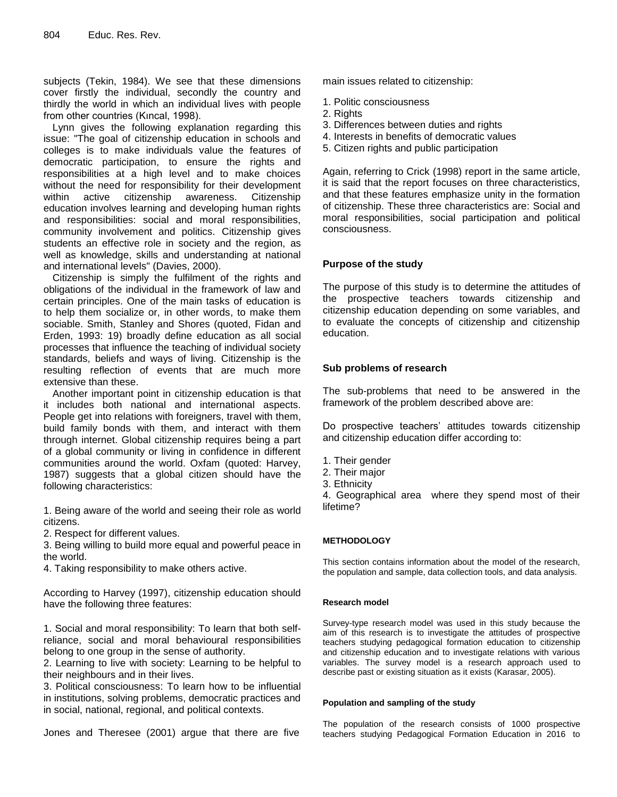subjects (Tekin, 1984). We see that these dimensions cover firstly the individual, secondly the country and thirdly the world in which an individual lives with people from other countries (Kıncal, 1998).

Lynn gives the following explanation regarding this issue: "The goal of citizenship education in schools and colleges is to make individuals value the features of democratic participation, to ensure the rights and responsibilities at a high level and to make choices without the need for responsibility for their development within active citizenship awareness. Citizenship education involves learning and developing human rights and responsibilities: social and moral responsibilities, community involvement and politics. Citizenship gives students an effective role in society and the region, as well as knowledge, skills and understanding at national and international levels" (Davies, 2000).

Citizenship is simply the fulfilment of the rights and obligations of the individual in the framework of law and certain principles. One of the main tasks of education is to help them socialize or, in other words, to make them sociable. Smith, Stanley and Shores (quoted, Fidan and Erden, 1993: 19) broadly define education as all social processes that influence the teaching of individual society standards, beliefs and ways of living. Citizenship is the resulting reflection of events that are much more extensive than these.

Another important point in citizenship education is that it includes both national and international aspects. People get into relations with foreigners, travel with them, build family bonds with them, and interact with them through internet. Global citizenship requires being a part of a global community or living in confidence in different communities around the world. Oxfam (quoted: Harvey, 1987) suggests that a global citizen should have the following characteristics:

1. Being aware of the world and seeing their role as world citizens.

2. Respect for different values.

3. Being willing to build more equal and powerful peace in the world.

4. Taking responsibility to make others active.

According to Harvey (1997), citizenship education should have the following three features:

1. Social and moral responsibility: To learn that both selfreliance, social and moral behavioural responsibilities belong to one group in the sense of authority.

2. Learning to live with society: Learning to be helpful to their neighbours and in their lives.

3. Political consciousness: To learn how to be influential in institutions, solving problems, democratic practices and in social, national, regional, and political contexts.

Jones and Theresee (2001) argue that there are five

main issues related to citizenship:

- 1. Politic consciousness
- 2. Rights
- 3. Differences between duties and rights
- 4. Interests in benefits of democratic values
- 5. Citizen rights and public participation

Again, referring to Crick (1998) report in the same article, it is said that the report focuses on three characteristics, and that these features emphasize unity in the formation of citizenship. These three characteristics are: Social and moral responsibilities, social participation and political consciousness.

## **Purpose of the study**

The purpose of this study is to determine the attitudes of the prospective teachers towards citizenship and citizenship education depending on some variables, and to evaluate the concepts of citizenship and citizenship education.

## **Sub problems of research**

The sub-problems that need to be answered in the framework of the problem described above are:

Do prospective teachers' attitudes towards citizenship and citizenship education differ according to:

- 1. Their gender
- 2. Their major
- 3. Ethnicity

4. Geographical area where they spend most of their lifetime?

## **METHODOLOGY**

This section contains information about the model of the research, the population and sample, data collection tools, and data analysis.

## **Research model**

Survey-type research model was used in this study because the aim of this research is to investigate the attitudes of prospective teachers studying pedagogical formation education to citizenship and citizenship education and to investigate relations with various variables. The survey model is a research approach used to describe past or existing situation as it exists (Karasar, 2005).

## **Population and sampling of the study**

The population of the research consists of 1000 prospective teachers studying Pedagogical Formation Education in 2016 to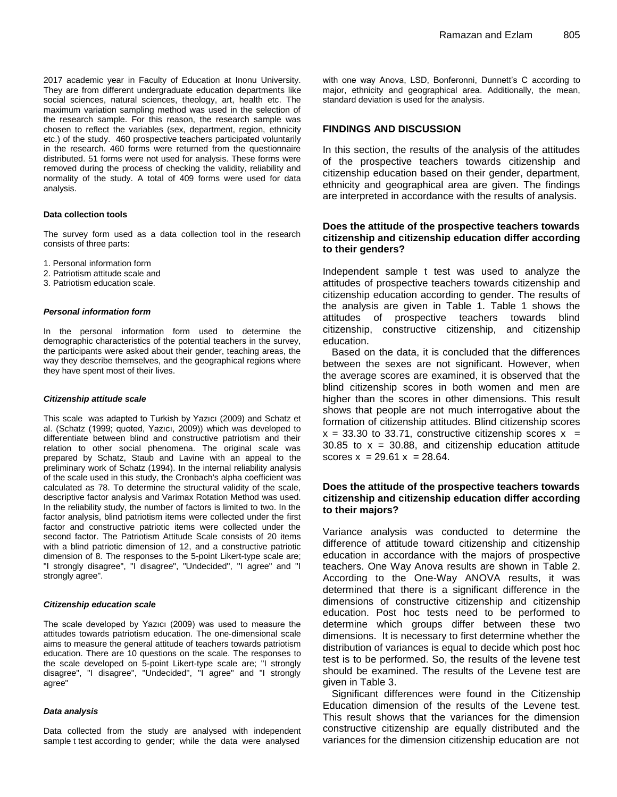2017 academic year in Faculty of Education at Inonu University. They are from different undergraduate education departments like social sciences, natural sciences, theology, art, health etc. The maximum variation sampling method was used in the selection of the research sample. For this reason, the research sample was chosen to reflect the variables (sex, department, region, ethnicity etc.) of the study. 460 prospective teachers participated voluntarily in the research. 460 forms were returned from the questionnaire distributed. 51 forms were not used for analysis. These forms were removed during the process of checking the validity, reliability and normality of the study. A total of 409 forms were used for data analysis.

#### **Data collection tools**

The survey form used as a data collection tool in the research consists of three parts:

- 1. Personal information form
- 2. Patriotism attitude scale and
- 3. Patriotism education scale.

#### *Personal information form*

In the personal information form used to determine the demographic characteristics of the potential teachers in the survey, the participants were asked about their gender, teaching areas, the way they describe themselves, and the geographical regions where they have spent most of their lives.

#### *Citizenship attitude scale*

This scale was adapted to Turkish by Yazıcı (2009) and Schatz et al. (Schatz (1999; quoted, Yazıcı, 2009)) which was developed to differentiate between blind and constructive patriotism and their relation to other social phenomena. The original scale was prepared by Schatz, Staub and Lavine with an appeal to the preliminary work of Schatz (1994). In the internal reliability analysis of the scale used in this study, the Cronbach's alpha coefficient was calculated as 78. To determine the structural validity of the scale, descriptive factor analysis and Varimax Rotation Method was used. In the reliability study, the number of factors is limited to two. In the factor analysis, blind patriotism items were collected under the first factor and constructive patriotic items were collected under the second factor. The Patriotism Attitude Scale consists of 20 items with a blind patriotic dimension of 12, and a constructive patriotic dimension of 8. The responses to the 5-point Likert-type scale are; "I strongly disagree", "I disagree", "Undecided'', ''I agree" and "I strongly agree".

#### *Citizenship education scale*

The scale developed by Yazıcı (2009) was used to measure the attitudes towards patriotism education. The one-dimensional scale aims to measure the general attitude of teachers towards patriotism education. There are 10 questions on the scale. The responses to the scale developed on 5-point Likert-type scale are; "I strongly disagree", "I disagree", "Undecided'', ''I agree" and "I strongly agree"

#### *Data analysis*

Data collected from the study are analysed with independent sample t test according to gender; while the data were analysed

with one way Anova, LSD, Bonferonni, Dunnett's C according to major, ethnicity and geographical area. Additionally, the mean, standard deviation is used for the analysis.

## **FINDINGS AND DISCUSSION**

In this section, the results of the analysis of the attitudes of the prospective teachers towards citizenship and citizenship education based on their gender, department, ethnicity and geographical area are given. The findings are interpreted in accordance with the results of analysis.

## **Does the attitude of the prospective teachers towards citizenship and citizenship education differ according to their genders?**

Independent sample t test was used to analyze the attitudes of prospective teachers towards citizenship and citizenship education according to gender. The results of the analysis are given in Table 1. Table 1 shows the attitudes of prospective teachers towards blind citizenship, constructive citizenship, and citizenship education.

Based on the data, it is concluded that the differences between the sexes are not significant. However, when the average scores are examined, it is observed that the blind citizenship scores in both women and men are higher than the scores in other dimensions. This result shows that people are not much interrogative about the formation of citizenship attitudes. Blind citizenship scores  $x = 33.30$  to 33.71, constructive citizenship scores  $x =$  $30.85$  to  $x = 30.88$ , and citizenship education attitude scores  $x = 29.61 x = 28.64$ .

## **Does the attitude of the prospective teachers towards citizenship and citizenship education differ according to their majors?**

Variance analysis was conducted to determine the difference of attitude toward citizenship and citizenship education in accordance with the majors of prospective teachers. One Way Anova results are shown in Table 2. According to the One-Way ANOVA results, it was determined that there is a significant difference in the dimensions of constructive citizenship and citizenship education. Post hoc tests need to be performed to determine which groups differ between these two dimensions. It is necessary to first determine whether the distribution of variances is equal to decide which post hoc test is to be performed. So, the results of the levene test should be examined. The results of the Levene test are given in Table 3.

Significant differences were found in the Citizenship Education dimension of the results of the Levene test. This result shows that the variances for the dimension constructive citizenship are equally distributed and the variances for the dimension citizenship education are not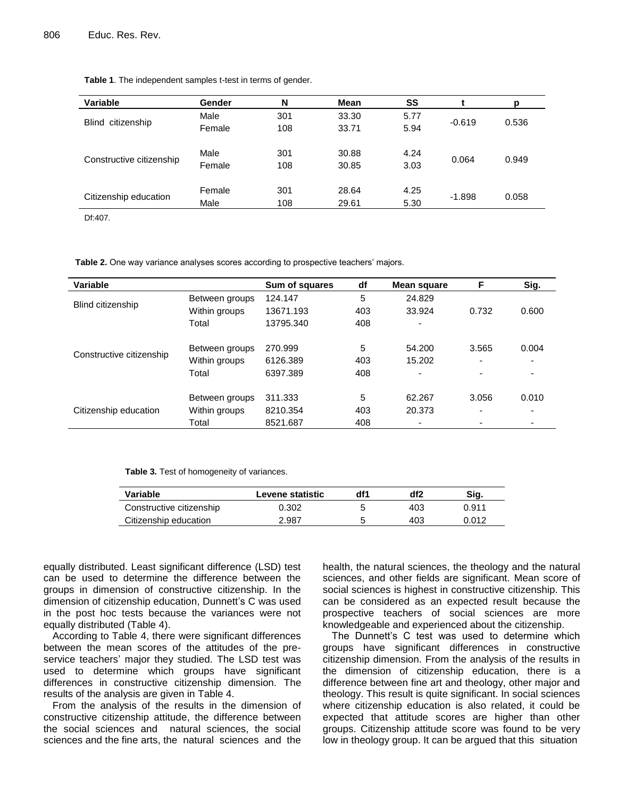| Variable                 | Gender         | N          | Mean           | SS           |          | D     |
|--------------------------|----------------|------------|----------------|--------------|----------|-------|
|                          | Male           | 301        | 33.30          | 5.77         |          | 0.536 |
| Blind citizenship        | Female         | 108        | 33.71          | 5.94         | $-0.619$ |       |
| Constructive citizenship | Male<br>Female | 301<br>108 | 30.88<br>30.85 | 4.24<br>3.03 | 0.064    | 0.949 |
| Citizenship education    | Female<br>Male | 301<br>108 | 28.64<br>29.61 | 4.25<br>5.30 | $-1.898$ | 0.058 |

**Table 1**. The independent samples t-test in terms of gender.

Df:407.

**Table 2.** One way variance analyses scores according to prospective teachers' majors.

| Variable                 |                | Sum of squares | df  | Mean square              | F     | Sig.  |
|--------------------------|----------------|----------------|-----|--------------------------|-------|-------|
| Blind citizenship        | Between groups | 124.147        | 5   | 24.829                   |       |       |
|                          | Within groups  | 13671.193      | 403 | 33.924                   | 0.732 | 0.600 |
|                          | Total          | 13795.340      | 408 |                          |       |       |
| Constructive citizenship | Between groups | 270.999        | 5   | 54.200                   | 3.565 | 0.004 |
|                          | Within groups  | 6126.389       | 403 | 15.202                   |       |       |
|                          | Total          | 6397.389       | 408 | $\overline{\phantom{0}}$ |       |       |
|                          | Between groups | 311.333        | 5   | 62.267                   | 3.056 | 0.010 |
| Citizenship education    | Within groups  | 8210.354       | 403 | 20.373                   |       |       |
|                          | Total          | 8521.687       | 408 |                          |       |       |

#### **Table 3.** Test of homogeneity of variances.

| Variable                 | Levene statistic | df1 | df2 | Siq.  |
|--------------------------|------------------|-----|-----|-------|
| Constructive citizenship | 0.302            |     | 403 | 0.911 |
| Citizenship education    | 2.987            |     | 403 | 0.012 |

equally distributed. Least significant difference (LSD) test can be used to determine the difference between the groups in dimension of constructive citizenship. In the dimension of citizenship education, Dunnett's C was used in the post hoc tests because the variances were not equally distributed (Table 4).

According to Table 4, there were significant differences between the mean scores of the attitudes of the preservice teachers' major they studied. The LSD test was used to determine which groups have significant differences in constructive citizenship dimension. The results of the analysis are given in Table 4.

From the analysis of the results in the dimension of constructive citizenship attitude, the difference between the social sciences and natural sciences, the social sciences and the fine arts, the natural sciences and the health, the natural sciences, the theology and the natural sciences, and other fields are significant. Mean score of social sciences is highest in constructive citizenship. This can be considered as an expected result because the prospective teachers of social sciences are more knowledgeable and experienced about the citizenship.

The Dunnett's C test was used to determine which groups have significant differences in constructive citizenship dimension. From the analysis of the results in the dimension of citizenship education, there is a difference between fine art and theology, other major and theology. This result is quite significant. In social sciences where citizenship education is also related, it could be expected that attitude scores are higher than other groups. Citizenship attitude score was found to be very low in theology group. It can be argued that this situation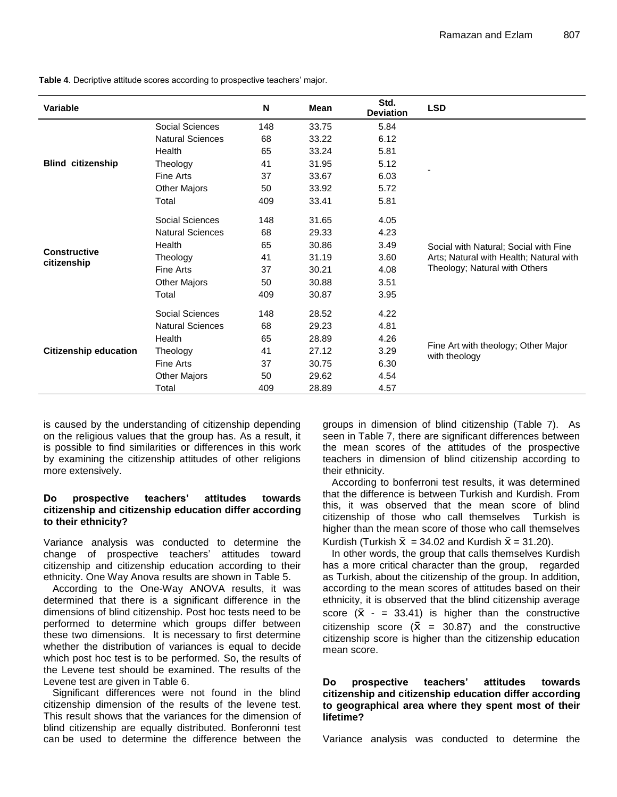**Variable <sup>N</sup> Mean Std. Deviation LSD Blind citizenship**  Social Sciences 148 33.75 5.84 - Natural Sciences 68 33.22 6.12 Health 65 33.24 5.81 Theology 41 31.95 5.12 Fine Arts 37 33.67 6.03 Other Majors 50 33.92 5.72 Total 409 33.41 5.81 **Constructive citizenship** Social Sciences 148 31.65 4.05 Social with Natural; Social with Fine Arts; Natural with Health; Natural with Theology; Natural with Others Natural Sciences 68 29.33 4.23 Health 65 30.86 3.49 Theology 41 31.19 3.60 Fine Arts 37 30.21 4.08 Other Majors 50 30.88 3.51 Total 409 30.87 3.95 **Citizenship education** Social Sciences 148 28.52 4.22 Fine Art with theology; Other Major with theology Natural Sciences 68 29.23 4.81 Health 65 28.89 4.26 Theology **41** 27.12 3.29 Fine Arts 37 30.75 6.30 Other Majors 50 29.62 4.54 Total 409 28.89 4.57

**Table 4**. Decriptive attitude scores according to prospective teachers' major.

is caused by the understanding of citizenship depending on the religious values that the group has. As a result, it is possible to find similarities or differences in this work by examining the citizenship attitudes of other religions more extensively.

## **Do prospective teachers' attitudes towards citizenship and citizenship education differ according to their ethnicity?**

Variance analysis was conducted to determine the change of prospective teachers' attitudes toward citizenship and citizenship education according to their ethnicity. One Way Anova results are shown in Table 5.

According to the One-Way ANOVA results, it was determined that there is a significant difference in the dimensions of blind citizenship. Post hoc tests need to be performed to determine which groups differ between these two dimensions. It is necessary to first determine whether the distribution of variances is equal to decide which post hoc test is to be performed. So, the results of the Levene test should be examined. The results of the Levene test are given in Table 6.

Significant differences were not found in the blind citizenship dimension of the results of the levene test. This result shows that the variances for the dimension of blind citizenship are equally distributed. Bonferonni test can be used to determine the difference between the

groups in dimension of blind citizenship (Table 7). As seen in Table 7, there are significant differences between the mean scores of the attitudes of the prospective teachers in dimension of blind citizenship according to their ethnicity.

According to bonferroni test results, it was determined that the difference is between Turkish and Kurdish. From this, it was observed that the mean score of blind citizenship of those who call themselves Turkish is higher than the mean score of those who call themselves Kurdish (Turkish  $\bar{x} = 34.02$  and Kurdish  $\bar{x} = 31.20$ ).

In other words, the group that calls themselves Kurdish has a more critical character than the group, regarded as Turkish, about the citizenship of the group. In addition, according to the mean scores of attitudes based on their ethnicity, it is observed that the blind citizenship average score  $(\bar{X} - 33.41)$  is higher than the constructive citizenship score ( $\bar{X}$  = 30.87) and the constructive citizenship score is higher than the citizenship education mean score.

## **Do prospective teachers' attitudes towards citizenship and citizenship education differ according to geographical area where they spent most of their lifetime?**

Variance analysis was conducted to determine the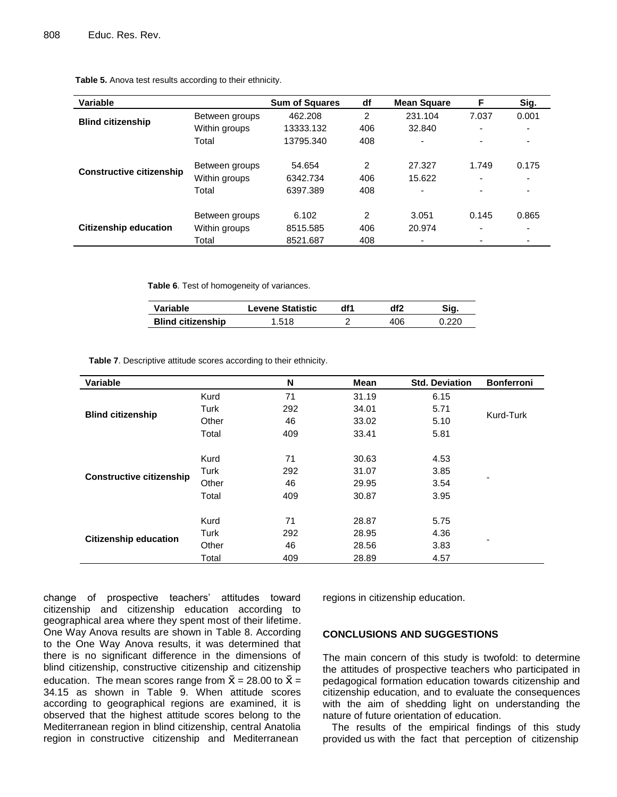| Variable                        |                | <b>Sum of Squares</b> | df  | <b>Mean Square</b>       | F                        | Sig.  |
|---------------------------------|----------------|-----------------------|-----|--------------------------|--------------------------|-------|
|                                 | Between groups | 462.208               | 2   | 231.104                  | 7.037                    | 0.001 |
| <b>Blind citizenship</b>        | Within groups  | 13333.132             | 406 | 32.840                   | $\overline{\phantom{0}}$ |       |
|                                 | Total          | 13795.340             | 408 | $\overline{\phantom{0}}$ | ۰                        |       |
| <b>Constructive citizenship</b> | Between groups | 54.654                | 2   | 27.327                   | 1.749                    | 0.175 |
|                                 | Within groups  | 6342.734              | 406 | 15.622                   | -                        |       |
|                                 | Total          | 6397.389              | 408 |                          |                          |       |
|                                 | Between groups | 6.102                 | 2   | 3.051                    | 0.145                    | 0.865 |
| <b>Citizenship education</b>    | Within groups  | 8515.585              | 406 | 20.974                   |                          |       |
|                                 | Total          | 8521.687              | 408 |                          |                          |       |

**Table 5.** Anova test results according to their ethnicity.

**Table 6**. Test of homogeneity of variances.

| Variable                 | <b>Levene Statistic</b> | df1 | df2 | Sia   |
|--------------------------|-------------------------|-----|-----|-------|
| <b>Blind citizenship</b> | .518                    |     | 406 | חממ ח |

**Table 7**. Descriptive attitude scores according to their ethnicity.

| Variable                        |       | N   | Mean  | <b>Std. Deviation</b> | <b>Bonferroni</b> |
|---------------------------------|-------|-----|-------|-----------------------|-------------------|
| <b>Blind citizenship</b>        | Kurd  | 71  | 31.19 | 6.15                  |                   |
|                                 | Turk  | 292 | 34.01 | 5.71                  | Kurd-Turk         |
|                                 | Other | 46  | 33.02 | 5.10                  |                   |
|                                 | Total | 409 | 33.41 | 5.81                  |                   |
|                                 |       |     |       |                       |                   |
|                                 | Kurd  | 71  | 30.63 | 4.53                  |                   |
| <b>Constructive citizenship</b> | Turk  | 292 | 31.07 | 3.85                  |                   |
|                                 | Other | 46  | 29.95 | 3.54                  |                   |
|                                 | Total | 409 | 30.87 | 3.95                  |                   |
|                                 |       |     |       |                       |                   |
| <b>Citizenship education</b>    | Kurd  | 71  | 28.87 | 5.75                  |                   |
|                                 | Turk  | 292 | 28.95 | 4.36                  |                   |
|                                 | Other | 46  | 28.56 | 3.83                  |                   |
|                                 | Total | 409 | 28.89 | 4.57                  |                   |

change of prospective teachers' attitudes toward citizenship and citizenship education according to geographical area where they spent most of their lifetime. One Way Anova results are shown in Table 8. According to the One Way Anova results, it was determined that there is no significant difference in the dimensions of blind citizenship, constructive citizenship and citizenship education. The mean scores range from  $\bar{x} = 28.00$  to  $\bar{x} =$ 34.15 as shown in Table 9. When attitude scores according to geographical regions are examined, it is observed that the highest attitude scores belong to the Mediterranean region in blind citizenship, central Anatolia region in constructive citizenship and Mediterranean

regions in citizenship education.

## **CONCLUSIONS AND SUGGESTIONS**

The main concern of this study is twofold: to determine the attitudes of prospective teachers who participated in pedagogical formation education towards citizenship and citizenship education, and to evaluate the consequences with the aim of shedding light on understanding the nature of future orientation of education.

The results of the empirical findings of this study provided us with the fact that perception of citizenship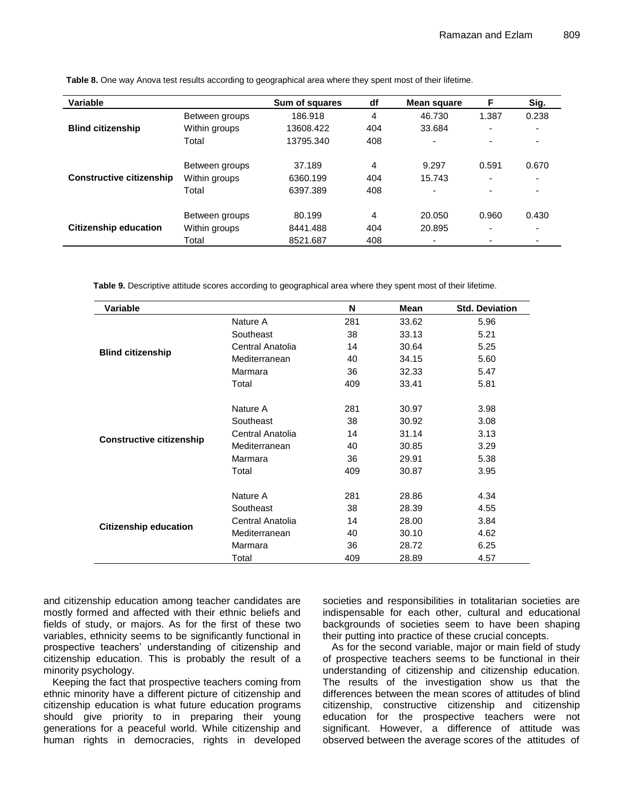| Variable                        |                | Sum of squares | df  | Mean square | F     | Sig.  |
|---------------------------------|----------------|----------------|-----|-------------|-------|-------|
|                                 | Between groups | 186.918        | 4   | 46.730      | 1.387 | 0.238 |
| <b>Blind citizenship</b>        | Within groups  | 13608.422      | 404 | 33.684      |       |       |
|                                 | Total          | 13795.340      | 408 | ۰           |       |       |
| <b>Constructive citizenship</b> | Between groups | 37.189         | 4   | 9.297       | 0.591 | 0.670 |
|                                 | Within groups  | 6360.199       | 404 | 15.743      | ٠     |       |
|                                 | Total          | 6397.389       | 408 | ۰           |       |       |
| <b>Citizenship education</b>    | Between groups | 80.199         | 4   | 20.050      | 0.960 | 0.430 |
|                                 | Within groups  | 8441.488       | 404 | 20.895      | ۰     |       |
|                                 | Total          | 8521.687       | 408 | ۰           |       |       |

**Table 8.** One way Anova test results according to geographical area where they spent most of their lifetime.

**Table 9.** Descriptive attitude scores according to geographical area where they spent most of their lifetime.

| Variable                        |                  | N   | Mean  | <b>Std. Deviation</b> |
|---------------------------------|------------------|-----|-------|-----------------------|
|                                 | Nature A         | 281 | 33.62 | 5.96                  |
|                                 | Southeast        | 38  | 33.13 | 5.21                  |
| <b>Blind citizenship</b>        | Central Anatolia | 14  | 30.64 | 5.25                  |
|                                 | Mediterranean    | 40  | 34.15 | 5.60                  |
|                                 | Marmara          | 36  | 32.33 | 5.47                  |
|                                 | Total            | 409 | 33.41 | 5.81                  |
|                                 | Nature A         | 281 | 30.97 | 3.98                  |
|                                 | Southeast        | 38  | 30.92 | 3.08                  |
|                                 | Central Anatolia | 14  | 31.14 | 3.13                  |
| <b>Constructive citizenship</b> | Mediterranean    | 40  | 30.85 | 3.29                  |
|                                 | Marmara          | 36  | 29.91 | 5.38                  |
|                                 | Total            | 409 | 30.87 | 3.95                  |
|                                 | Nature A         | 281 | 28.86 | 4.34                  |
|                                 | Southeast        | 38  | 28.39 | 4.55                  |
|                                 | Central Anatolia | 14  | 28.00 | 3.84                  |
| <b>Citizenship education</b>    | Mediterranean    | 40  | 30.10 | 4.62                  |
|                                 | Marmara          | 36  | 28.72 | 6.25                  |
|                                 | Total            | 409 | 28.89 | 4.57                  |

and citizenship education among teacher candidates are mostly formed and affected with their ethnic beliefs and fields of study, or majors. As for the first of these two variables, ethnicity seems to be significantly functional in prospective teachers" understanding of citizenship and citizenship education. This is probably the result of a minority psychology.

Keeping the fact that prospective teachers coming from ethnic minority have a different picture of citizenship and citizenship education is what future education programs should give priority to in preparing their young generations for a peaceful world. While citizenship and human rights in democracies, rights in developed societies and responsibilities in totalitarian societies are indispensable for each other, cultural and educational backgrounds of societies seem to have been shaping their putting into practice of these crucial concepts.

As for the second variable, major or main field of study of prospective teachers seems to be functional in their understanding of citizenship and citizenship education. The results of the investigation show us that the differences between the mean scores of attitudes of blind citizenship, constructive citizenship and citizenship education for the prospective teachers were not significant. However, a difference of attitude was observed between the average scores of the attitudes of